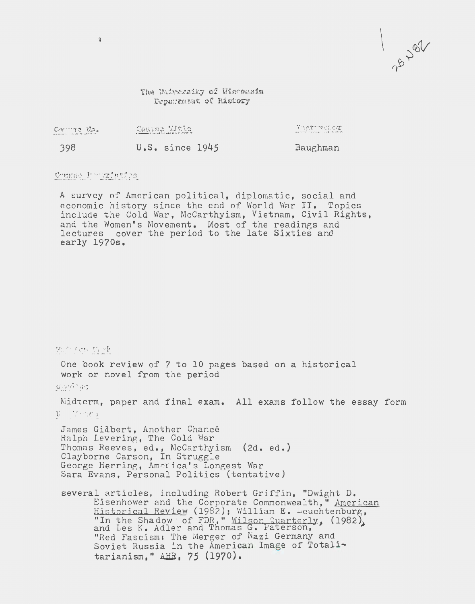The University of Wieconsin Døpartment of History

| Caringe Na.                                                                                                      | Genua Mitia                                                 | -Kmmtrintelox                       |
|------------------------------------------------------------------------------------------------------------------|-------------------------------------------------------------|-------------------------------------|
| and other and the content of the content of the content of the content of the content of the content of the con- | a modernment single with the subject to enter the modern as | www.communication.com/communication |
| 398                                                                                                              | $U.S.$ since $1945$                                         | Baughman                            |

## Course Peerinties

 $\hat{\mathbf{z}}$ 

A survey of American political, diplomatic, social and economic history since the end of World War II. Topics include the Cold War, McCarthyism, Vietnam, Civil Rights, and the Women's Movement. Most of the readings and lectures cover the period to the late Sixties and early 1970s.

 $E\mathcal{E}\cup\mathcal{E}\in\mathcal{E}^{(1,2,2)}\cap\mathcal{E}^{(2,1,2)}$ One book review of 7 to 10 pages based on a historical work or novel from the period  $G$ itat $G^+ \cup G^+$ Midterm, paper and final exam. All exams follow the essay form  $\mathcal{V} = \{f \cap \mathcal{F}\}$ James Gidbert, Another Chancé Ralph Levering, The Cold War Thomas Reeves, ed., McCarthyism (2d. ed.) Clayborne Carson, In Struggle George Herring, Am er ica's Longest War Sara Evans, Personal Politics (tentative) several articles, including Robert Griffin, "Dwight D. Eisenhower and the Corporate Commonwealth," American Historical Review (1982); William E. Leuchtenburg, "In the Shadow of FDR," Wilson Quarterly, (1982), and Les K. Adler and Thomas G. Paterson, "Red Fascism: The Merger of Nazi Germany and Soviet Russia in the American Image of Totalitarianism," AHB, 75 (1970).